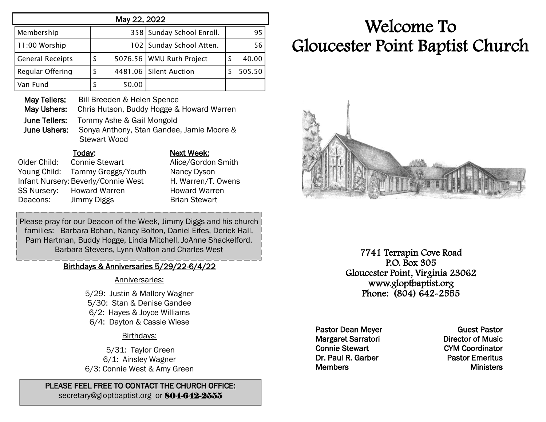| May 22, 2022            |    |       |                           |   |        |
|-------------------------|----|-------|---------------------------|---|--------|
| Membership              |    |       | 358 Sunday School Enroll. |   | 95     |
| 11:00 Worship           |    | 102   | Sunday School Atten.      |   | 56     |
| <b>General Receipts</b> | S  |       | 5076.56 WMU Ruth Project  | S | 40.00  |
| Regular Offering        | \$ |       | 4481.06 Silent Auction    |   | 505.50 |
| Van Fund                |    | 50.00 |                           |   |        |

May Tellers: Bill Breeden & Helen Spence May Ushers: Chris Hutson, Buddy Hogge & Howard Warren June Tellers: Tommy Ashe & Gail Mongold June Ushers: Sonya Anthony, Stan Gandee, Jamie Moore & Stewart Wood

#### Today: Next Week:

Older Child: Connie Stewart Alice/Gordon Smith Young Child: Tammy Greggs/Youth Nancy Dyson Infant Nursery: Beverly/Connie West H. Warren/T. Owens SS Nursery: Howard Warren Howard Warren Deacons: Jimmy Diggs Brian Stewart

Please pray for our Deacon of the Week, Jimmy Diggs and his church families: Barbara Bohan, Nancy Bolton, Daniel Eifes, Derick Hall, Pam Hartman, Buddy Hogge, Linda Mitchell, JoAnne Shackelford, Barbara Stevens, Lynn Walton and Charles West

### Birthdays & Anniversaries 5/29/22-6/4/22

#### Anniversaries:

5/29: Justin & Mallory Wagner 5/30: Stan & Denise Gandee 6/2: Hayes & Joyce Williams 6/4: Dayton & Cassie Wiese

#### Birthdays:

5/31: Taylor Green 6/1: Ainsley Wagner 6/3: Connie West & Amy Green

#### PLEASE FEEL FREE TO CONTACT THE CHURCH OFFICE:

secretary@gloptbaptist.org or 804-642-2555

# Welcome To Gloucester Point Baptist Church



7741 Terrapin Cove Road P.O. Box 305 Gloucester Point, Virginia 23062 www.gloptbaptist.org Phone: (804) 642-2555

Pastor Dean Meyer Margaret Sarratori Connie Stewart Dr. Paul R. Garber **Members** 

Guest Pastor Director of Music CYM Coordinator Pastor Emeritus **Ministers**